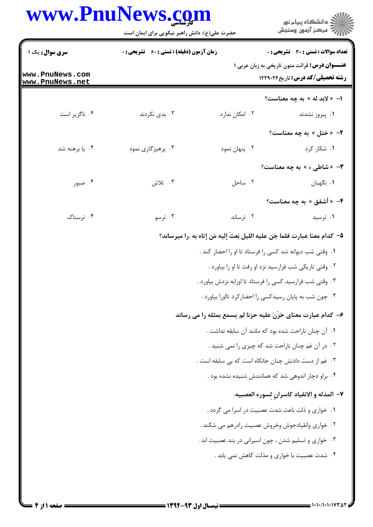## www.PnuNews.com

|                                    | www.PnuNews.com<br>حضرت علی(ع): دانش راهبر نیکویی برای ایمان است |                | ِ<br>∭ دانشڪاه پيام نور<br>∭ مرڪز آزمون وسنڊش                                                      |
|------------------------------------|------------------------------------------------------------------|----------------|----------------------------------------------------------------------------------------------------|
| سری سوال: یک ۱                     | <b>زمان آزمون (دقیقه) : تستی : 60 ٪ تشریحی : 0</b>               |                | تعداد سوالات : تستى : 30 - تشريحي : 0                                                              |
| www.PnuNews.com<br>www.PnuNews.net |                                                                  |                | <b>عنــــوان درس:</b> قرائت متون تاریخی به زبان عربی ۱<br><b>رشته تحصیلی/کد درس:</b> تاریخ ۱۲۲۹۰۲۴ |
|                                    |                                                                  |                | ا- « لابد له » به چه معناست؟                                                                       |
| ۰۴ ناگزیر است                      | ۰۳ بدی نکردند                                                    | ۰۲ امکان ندارد | ۰۱ پیروز نشدند                                                                                     |
|                                    |                                                                  |                | ۲- «ختل » به چه معناست؟                                                                            |
| ۰۴ پا برهنه شد                     | ۰۳ پرهيزگاري نمود                                                | ۰۲ پنهان نمود  | ۰۱ شکار کرد                                                                                        |
|                                    |                                                                  |                | ۳- «شاطی ء » به چه معناست؟                                                                         |
| ۰۴ صبور                            | ۰۳ تلاش                                                          | ۰۲ ساحل        | ۰۱ نگهبان                                                                                          |
|                                    |                                                                  |                | ۴- « أشفق » به چه معناست؟                                                                          |
| ۰۴ ترسناک                          | ۰۳ ترسو                                                          | ۰۲ ترساند      | ۰۱ ترسید                                                                                           |
|                                    |                                                                  |                | ۵– كدام معنا عبارت فلما جَن عليه الليل بَعثَ إليه مَن إتاه به .را ميرساند؟                         |
|                                    |                                                                  |                | ۰۱ وقتی شب دیوانه شد کسی را فرستاد تا او را احضار کند .                                            |
|                                    |                                                                  |                | ۰۲ وقتی تاریکی شب فرارسید نزد او رفت تا او را بیاورد .                                             |
|                                    |                                                                  |                | ۰۳ وقتی شب فرارسید کسی را فرستاد تا اورابه نزدش بیاورد .                                           |
|                                    |                                                                  |                | ۰۴ چون شب به پایان رسیدکسی را احضارکرد تااورا بیاورد .                                             |
|                                    |                                                                  |                | ۶- کدام عبارت معنای حَزّنَ علیه حزنا لم یسمع بمثله را می رساند                                     |
|                                    |                                                                  |                | ٠١ آن چنان ناراحت شده بود كه مانند آن سابقه نداشت .                                                |
|                                    |                                                                  |                | ۰۲ در آن غم چنان ناراحت شد که چیزی را نمی شنید .                                                   |
|                                    |                                                                  |                | ۰۳ غم از دست دادنش چنان جانکاه است که بی سابقه است .                                               |
|                                    |                                                                  |                | ۰۴ براو دچار اندوهی شد که همانندش شنیده نشده بود .                                                 |
|                                    |                                                                  |                | ٧– المذله و الانقياد كاسرانٍ لِسوره العصبيه.                                                       |
|                                    |                                                                  |                | ۰۱ خواری و ذلت باعث شدت عصبیت در اسرا می گردد .                                                    |
|                                    |                                                                  |                | ۰۲ خواری وانقیادجوش وخروش عصبیت رادرهم می شکند .                                                   |
|                                    |                                                                  |                | ۰۳ خواری و تسلیم شدن ، چون اسیرانی در بند عصبیت اند .                                              |
|                                    |                                                                  |                | ۰۴ شدت عصبیت با خواری و مذلت کاهش نمی یابد .                                                       |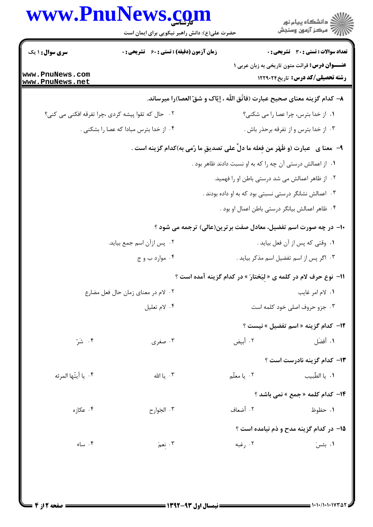|                                           | www.PnuNews.com<br>حضرت علی(ع): دانش راهبر نیکویی برای ایمان است |                                                                                      | <br>  <br>  7   مرکز آزمون وسنجش                                                                                                           |  |
|-------------------------------------------|------------------------------------------------------------------|--------------------------------------------------------------------------------------|--------------------------------------------------------------------------------------------------------------------------------------------|--|
| <b>سری سوال : ۱ یک</b><br>www.PnuNews.com | <b>زمان آزمون (دقیقه) : تستی : 60 ٪ تشریحی : 0</b>               |                                                                                      | <b>تعداد سوالات : تستی : 30 ٪ تشریحی : 0</b><br><b>عنـــوان درس:</b> قرائت متون تاریخی به زبان عربی ۱<br>رشته تحصیلی/کد درس: تاریخ ۱۲۲۹۰۲۴ |  |
| www.PnuNews.net                           |                                                                  | ٨− كدام گزينه معناي صحيح عبارت (فاتّق اللّه ، إيّاک و شقّ العصا)را ميرساند.          |                                                                                                                                            |  |
|                                           | ۰۲ حال که تقوا پیشه کردی ،چرا تفرقه افکنی می کنی؟                |                                                                                      | ٠١. از خدا بترس، چرا عصا را می شکنی؟                                                                                                       |  |
|                                           | ۰۴ از خدا بترس مبادا که عصا را بشکنی .                           |                                                                                      | ۰۳ از خدا بترس و از تفرقه برحذر باش .                                                                                                      |  |
|                                           |                                                                  | ۹-   معنا ی   عبارت (و ظَهَر من فِعله ما دلَّ علی تصدیقِ ما رُمی به)کدام گزینه است . |                                                                                                                                            |  |
|                                           |                                                                  | ۰۱ از اعمالش درستی آن چه را که به او نسبت دادند ظاهر بود .                           |                                                                                                                                            |  |
|                                           |                                                                  |                                                                                      | ۰۲ از ظاهر اعمالش می شد درستی باطن او را فهمید.                                                                                            |  |
|                                           |                                                                  | ۰۳ اعمالش نشانگر درستی نسبتی بود که به او داده بودند .                               |                                                                                                                                            |  |
|                                           |                                                                  |                                                                                      | ۰۴ ظاهر اعمالش بیانگر درستی باطن اعمال او بود .                                                                                            |  |
|                                           |                                                                  | ∙ا− در چه صورت اسم تفضیل، معادل صفت برترین(عالی) ترجمه می شود ؟                      |                                                                                                                                            |  |
|                                           | ۰۲ پس ازآن اسم جمع بیاید.                                        |                                                                                      | ٠١ وقتي كه پس از آن فعل بيايد .                                                                                                            |  |
|                                           | ۰۴ موارد ب و ج                                                   | ۰۳ اگر پس از اسم تفضیل اسم مذکر بیاید .                                              |                                                                                                                                            |  |
|                                           |                                                                  | اا- نوع حرف لام در کلمه ی « لیَختارَ » در کدام گزینه آمده است ؟                      |                                                                                                                                            |  |
|                                           | ۲. لام در معناي زمان حال فعل مضارع                               |                                                                                      | ٠١. لام امر غايب                                                                                                                           |  |
|                                           | ۰۴ لام تعليل                                                     |                                                                                      | ۰۳ جزو حروف اصلی خود کلمه است                                                                                                              |  |
|                                           |                                                                  |                                                                                      | 1۲- کدام گزینه « اسم تفضیل » نیست ؟                                                                                                        |  |
| ۰۴ شَرّ                                   | ۰۳ صغری                                                          | ۰۲ أبيض                                                                              | ٠١ أفضَل                                                                                                                                   |  |
|                                           |                                                                  |                                                                                      | <b>۱۳</b> - کدام گزینه نادرست است ؟                                                                                                        |  |
| ۰۴ يا أيتّها المرئه                       | ۰۳ یا الله                                                       | ۰۲ يا معلّم                                                                          | ٠١. يا الطّبيب                                                                                                                             |  |
|                                           |                                                                  |                                                                                      | ۱۴- کدام کلمه « جمع » نمی باشد ؟                                                                                                           |  |
| ۰۴ عکازه                                  | ۰۳ الجَوارح                                                      | ٢. أضعاف                                                                             | ۰۱ حظوظ                                                                                                                                    |  |
|                                           |                                                                  |                                                                                      | ۱۵– در کدام گزینه مدح و ذم نیامده است ؟                                                                                                    |  |
| ۰۴ ساء                                    | ۰۳ نعمَ                                                          | ۰۲ رغبه                                                                              | ۰۱ بئسَ                                                                                                                                    |  |
|                                           |                                                                  |                                                                                      |                                                                                                                                            |  |
|                                           |                                                                  |                                                                                      |                                                                                                                                            |  |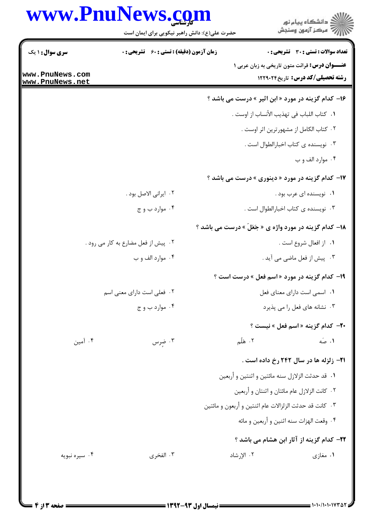## www.PnuNews.com

|                                    | www.PnuNews.com<br>حضرت علی(ع): دانش راهبر نیکویی برای ایمان است |                                                                | ڪ دانشڪاه پيا <sub>م</sub> نور<br>(7 مرڪز آزمون وسنڊش |
|------------------------------------|------------------------------------------------------------------|----------------------------------------------------------------|-------------------------------------------------------|
| <b>سری سوال : ۱ یک</b>             | زمان آزمون (دقیقه) : تستی : 60 - تشریحی : 0                      |                                                                | <b>تعداد سوالات : تستی : 30 ٪ تشریحی : 0</b>          |
| www.PnuNews.com<br>www.PnuNews.net |                                                                  | <b>عنــــوان درس:</b> قرائت متون تاریخی به زبان عربی ۱         | <b>رشته تحصیلی/کد درس:</b> تاریخ۲۲۹۰۲۴                |
|                                    |                                                                  | ۱۶- کدام گزینه در مورد « ابن اثیر » درست می باشد ؟             |                                                       |
|                                    |                                                                  | ٠. كتاب اللباب في تهذيب الأنساب از اوست .                      |                                                       |
|                                    |                                                                  | ٠٢ كتاب الكامل از مشهورترين اثر اوست .                         |                                                       |
|                                    |                                                                  | ۰۳ نویسنده ی کتاب اخبارالطوال است .                            |                                                       |
|                                    |                                                                  |                                                                | ۰۴ موارد الف و ب                                      |
|                                    |                                                                  | <b>۱۷- کدام گزینه در مورد « دینوری » درست می باشد</b> ؟        |                                                       |
|                                    | ۰۲ ایرانی الاصل بود .                                            |                                                                | ۰۱ نویسنده ای عرب بود .                               |
|                                    | ۰۴ موارد ب و ج                                                   | ۰۳ نویسنده ی کتاب اخبارالطوال است .                            |                                                       |
|                                    |                                                                  | <b>۱۸- کدام گزینه در مورد واژه ی « جَعَلَ</b> » درست می باشد ؟ |                                                       |
|                                    | ۰۲ پیش از فعل مضارع به کار می رود .                              |                                                                | ٠١. از افعال شروع است .                               |
|                                    | ۰۴ موارد الف و ب                                                 |                                                                | ۰۳ پیش از فعل ماضی می آید .                           |
|                                    |                                                                  | ۱۹- کدام گزینه در مورد «اسم فعل » درست است ؟                   |                                                       |
|                                    | ۲. فعلی است دارای معنی اسم                                       | <b>۱.</b> اسمی است دارای معنای فعل                             |                                                       |
|                                    | ۰۴ موارد ب و ج                                                   |                                                                | ۰۳ نشانه های فعل را می پذیرد                          |
|                                    |                                                                  |                                                                | <b>٣٠</b> - كدام گزينه « اسم فعل » نيست ؟             |
| ۰۴ آمین                            | ۰۳ ضرس                                                           | ۰۲ هَلُم                                                       | ۰۱ صَه                                                |
|                                    |                                                                  | <b>۲۱</b> - زلزله ها در سال ۲۴۲ رخ داده است .                  |                                                       |
|                                    |                                                                  | ۰۱ قد حدثت الزلازل سنه مائتين و اثنتين و أربعين                |                                                       |
|                                    |                                                                  | ۲. كانت الزلازل عام مائتان و اثنتان و أربعين                   |                                                       |
|                                    |                                                                  | ۰۳ كانت قد حدثت الزلزالات عام اثنتين و أربعون و مائتين         |                                                       |
|                                    | ۰۴ وقعت الهزات سنه اثنين و أربعين و مائه                         |                                                                |                                                       |
|                                    |                                                                  | <b>۲۲</b> – کدام گزینه از آثار ابن هشام می باشد ؟              |                                                       |
| ۰۴ سیره نبویه                      | ۰۳ الفخری                                                        | ٢. الإرشاد                                                     | ۱. مغازی                                              |
|                                    |                                                                  |                                                                |                                                       |